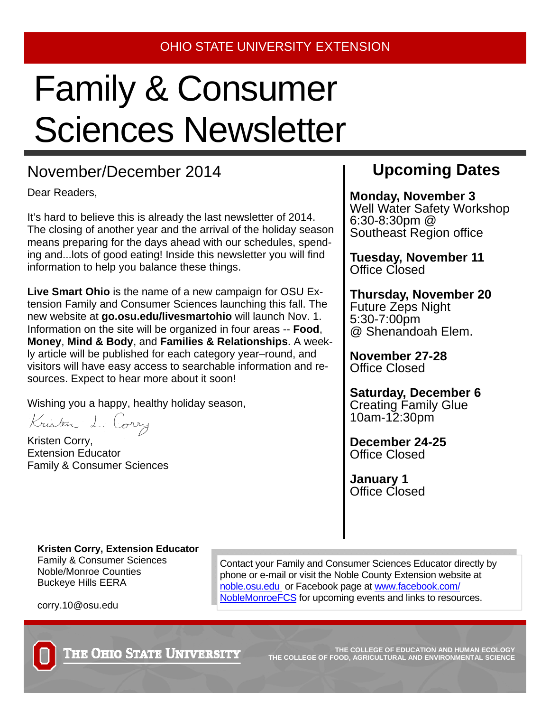## Family & Consumer Sciences Newsletter

#### November/December 2014 **Upcoming Dates**

Dear Readers,

It's hard to believe this is already the last newsletter of 2014. The closing of another year and the arrival of the holiday season means preparing for the days ahead with our schedules, spending and...lots of good eating! Inside this newsletter you will find information to help you balance these things.

**Live Smart Ohio** is the name of a new campaign for OSU Extension Family and Consumer Sciences launching this fall. The new website at **go.osu.edu/livesmartohio** will launch Nov. 1. Information on the site will be organized in four areas -- **Food**, **Money**, **Mind & Body**, and **Families & Relationships**. A weekly article will be published for each category year–round, and visitors will have easy access to searchable information and resources. Expect to hear more about it soon!

Wishing you a happy, healthy holiday season,

Kristen L. Corry

Kristen Corry, Extension Educator Family & Consumer Sciences

**Monday, November 3**  Well Water Safety Workshop 6:30-8:30pm @ Southeast Region office

**Tuesday, November 11**  Office Closed

**Thursday, November 20**  Future Zeps Night 5:30-7:00pm @ Shenandoah Elem.

**November 27-28**  Office Closed

**Saturday, December 6**  Creating Family Glue 10am-12:30pm

**December 24-25**  Office Closed

**January 1**  Office Closed

**Kristen Corry, Extension Educator**  Family & Consumer Sciences Noble/Monroe Counties Buckeye Hills EERA

Contact your Family and Consumer Sciences Educator directly by phone or e-mail or visit the Noble County Extension website at noble.osu.edu or Facebook page at www.facebook.com/ NobleMonroeFCS for upcoming events and links to resources.



corry.10@osu.edu

**THE COLLEGE OF EDUCATION AND HUMAN ECOLOGY THE COLLEGE OF FOOD, AGRICULTURAL AND ENVIRONMENTAL SCIENCE**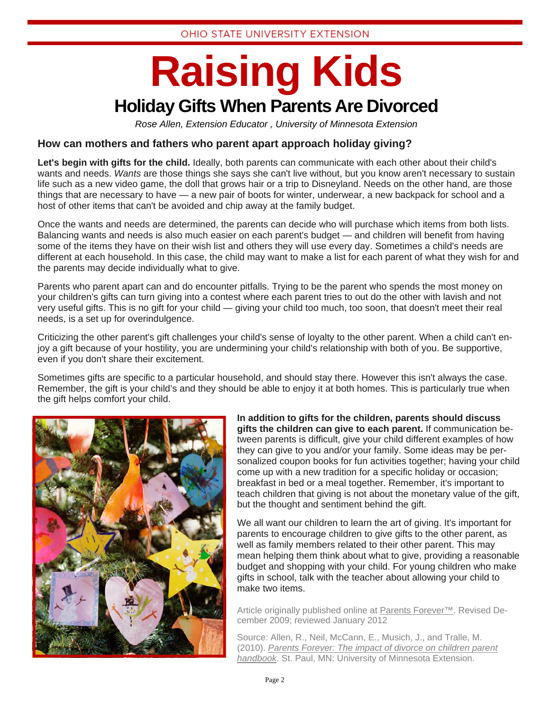### **Raising Kids Holiday Gifts When Parents Are Divorced**

*Rose Allen, Extension Educator , University of Minnesota Extension* 

#### **How can mothers and fathers who parent apart approach holiday giving?**

**Let's begin with gifts for the child.** Ideally, both parents can communicate with each other about their child's wants and needs. *Wants* are those things she says she can't live without, but you know aren't necessary to sustain life such as a new video game, the doll that grows hair or a trip to Disneyland. Needs on the other hand, are those things that are necessary to have — a new pair of boots for winter, underwear, a new backpack for school and a host of other items that can't be avoided and chip away at the family budget.

Once the wants and needs are determined, the parents can decide who will purchase which items from both lists. Balancing wants and needs is also much easier on each parent's budget — and children will benefit from having some of the items they have on their wish list and others they will use every day. Sometimes a child's needs are different at each household. In this case, the child may want to make a list for each parent of what they wish for and the parents may decide individually what to give.

Parents who parent apart can and do encounter pitfalls. Trying to be the parent who spends the most money on your children's gifts can turn giving into a contest where each parent tries to out do the other with lavish and not very useful gifts. This is no gift for your child — giving your child too much, too soon, that doesn't meet their real needs, is a set up for overindulgence.

Criticizing the other parent's gift challenges your child's sense of loyalty to the other parent. When a child can't enjoy a gift because of your hostility, you are undermining your child's relationship with both of you. Be supportive, even if you don't share their excitement.

Sometimes gifts are specific to a particular household, and should stay there. However this isn't always the case. Remember, the gift is your child's and they should be able to enjoy it at both homes. This is particularly true when the gift helps comfort your child.



**In addition to gifts for the children, parents should discuss gifts the children can give to each parent.** If communication between parents is difficult, give your child different examples of how they can give to you and/or your family. Some ideas may be personalized coupon books for fun activities together; having your child come up with a new tradition for a specific holiday or occasion; breakfast in bed or a meal together. Remember, it's important to teach children that giving is not about the monetary value of the gift, but the thought and sentiment behind the gift.

We all want our children to learn the art of giving. It's important for parents to encourage children to give gifts to the other parent, as well as family members related to their other parent. This may mean helping them think about what to give, providing a reasonable budget and shopping with your child. For young children who make gifts in school, talk with the teacher about allowing your child to make two items.

Article originally published online at Parents Forever™. Revised December 2009; reviewed January 2012

Source: Allen, R., Neil, McCann, E., Musich, J., and Tralle, M. (2010). *Parents Forever: The impact of divorce on children parent handbook*. St. Paul, MN: University of Minnesota Extension.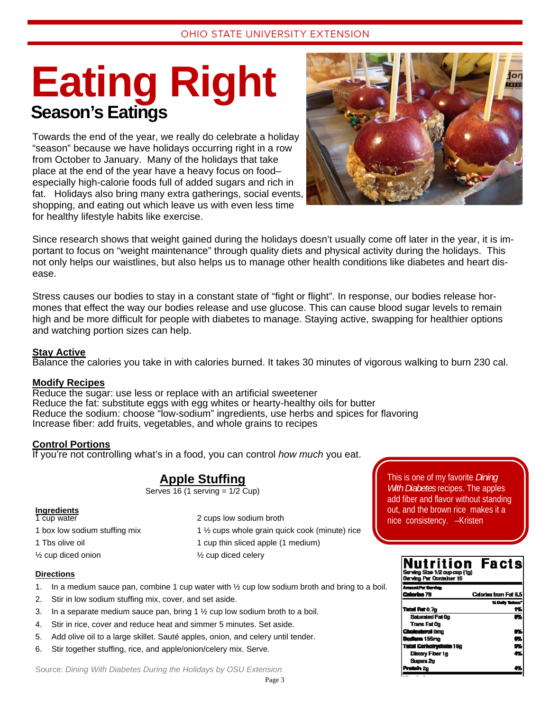### **Eating Right Season's Eatings**

Towards the end of the year, we really do celebrate a holiday "season" because we have holidays occurring right in a row from October to January. Many of the holidays that take place at the end of the year have a heavy focus on food– especially high-calorie foods full of added sugars and rich in fat. Holidays also bring many extra gatherings, social events, shopping, and eating out which leave us with even less time for healthy lifestyle habits like exercise.



Since research shows that weight gained during the holidays doesn't usually come off later in the year, it is important to focus on "weight maintenance" through quality diets and physical activity during the holidays. This not only helps our waistlines, but also helps us to manage other health conditions like diabetes and heart disease.

Stress causes our bodies to stay in a constant state of "fight or flight". In response, our bodies release hormones that effect the way our bodies release and use glucose. This can cause blood sugar levels to remain high and be more difficult for people with diabetes to manage. Staying active, swapping for healthier options and watching portion sizes can help.

#### **Stay Active**

Balance the calories you take in with calories burned. It takes 30 minutes of vigorous walking to burn 230 cal.

#### **Modify Recipes**

Reduce the sugar: use less or replace with an artificial sweetener Reduce the fat: substitute eggs with egg whites or hearty-healthy oils for butter Reduce the sodium: choose "low-sodium" ingredients, use herbs and spices for flavoring Increase fiber: add fruits, vegetables, and whole grains to recipes

#### **Control Portions**

If you're not controlling what's in a food, you can control *how much* you eat.

#### **Apple Stuffing**

Serves  $16$  (1 serving =  $1/2$  Cup)

#### **Ingredients**

 $\frac{1}{2}$  cup diced onion  $\frac{1}{2}$  cup diced celery

2 cups low sodium broth 1 box low sodium stuffing mix 1 ½ cups whole grain quick cook (minute) rice 1 Tbs olive oil 1 cup thin sliced apple (1 medium)

#### **Directions**

- 1. In a medium sauce pan, combine 1 cup water with  $\frac{1}{2}$  cup low sodium broth and bring to a boil.
- 2. Stir in low sodium stuffing mix, cover, and set aside.
- 3. In a separate medium sauce pan, bring  $1\frac{1}{2}$  cup low sodium broth to a boil.
- 4. Stir in rice, cover and reduce heat and simmer 5 minutes. Set aside.
- 5. Add olive oil to a large skillet. Sauté apples, onion, and celery until tender.
- 6. Stir together stuffing, rice, and apple/onion/celery mix. Serve.

Source: *Dining With Diabetes During the Holidays by OSU Extension*

This is one of my favorite *Dining With Diabetes* recipes. The apples add fiber and flavor without standing out, and the brown rice makes it a nice consistency. –Kristen

| Nutrition<br>Serving Size 1/2 cup cup (1g)<br>Serving Par Container 16 | <b>Facts</b>          |
|------------------------------------------------------------------------|-----------------------|
| Languat Per Serving                                                    |                       |
| Caleries 79                                                            | Calories trom Fat 6.5 |
|                                                                        | % Daily Walance       |
| Tetal Fat 0.7g                                                         | 1%                    |
| Saturated Fail@                                                        | Øš.                   |
| Trans Fat Og                                                           |                       |
| <b>Cholesterol Omo</b>                                                 | 95                    |
| <b>Sadium 155mo</b>                                                    | 6%                    |
| <b>Tatal Carisolrydrate 18g</b>                                        | 5%                    |
| Distary Fiber 1g                                                       | 4%                    |
| Sugara 2g                                                              |                       |
| Pretein 2p                                                             |                       |
|                                                                        |                       |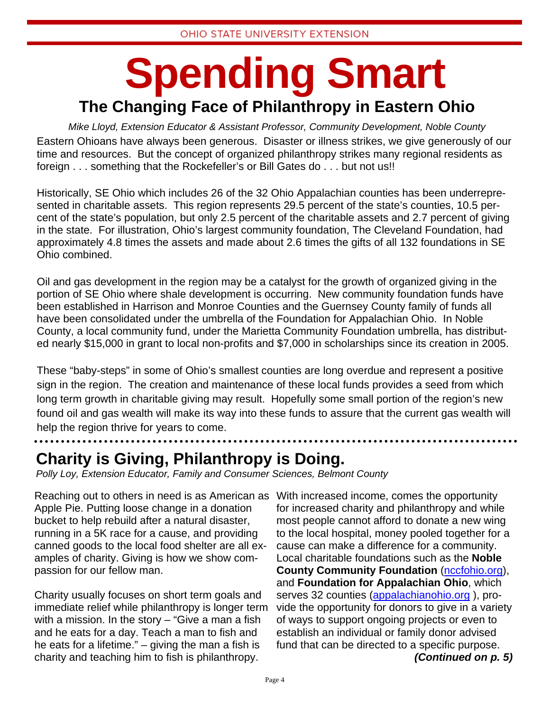### **Spending Smart The Changing Face of Philanthropy in Eastern Ohio**

*Mike Lloyd, Extension Educator & Assistant Professor, Community Development, Noble County*  Eastern Ohioans have always been generous. Disaster or illness strikes, we give generously of our time and resources. But the concept of organized philanthropy strikes many regional residents as foreign . . . something that the Rockefeller's or Bill Gates do . . . but not us!!

Historically, SE Ohio which includes 26 of the 32 Ohio Appalachian counties has been underrepresented in charitable assets. This region represents 29.5 percent of the state's counties, 10.5 percent of the state's population, but only 2.5 percent of the charitable assets and 2.7 percent of giving in the state. For illustration, Ohio's largest community foundation, The Cleveland Foundation, had approximately 4.8 times the assets and made about 2.6 times the gifts of all 132 foundations in SE Ohio combined.

Oil and gas development in the region may be a catalyst for the growth of organized giving in the portion of SE Ohio where shale development is occurring. New community foundation funds have been established in Harrison and Monroe Counties and the Guernsey County family of funds all have been consolidated under the umbrella of the Foundation for Appalachian Ohio. In Noble County, a local community fund, under the Marietta Community Foundation umbrella, has distributed nearly \$15,000 in grant to local non-profits and \$7,000 in scholarships since its creation in 2005.

These "baby-steps" in some of Ohio's smallest counties are long overdue and represent a positive sign in the region. The creation and maintenance of these local funds provides a seed from which long term growth in charitable giving may result. Hopefully some small portion of the region's new found oil and gas wealth will make its way into these funds to assure that the current gas wealth will help the region thrive for years to come.

**Charity is Giving, Philanthropy is Doing.** 

*Polly Loy, Extension Educator, Family and Consumer Sciences, Belmont County* 

Reaching out to others in need is as American as With increased income, comes the opportunity Apple Pie. Putting loose change in a donation bucket to help rebuild after a natural disaster, running in a 5K race for a cause, and providing canned goods to the local food shelter are all examples of charity. Giving is how we show compassion for our fellow man.

Charity usually focuses on short term goals and immediate relief while philanthropy is longer term with a mission. In the story – "Give a man a fish and he eats for a day. Teach a man to fish and he eats for a lifetime." – giving the man a fish is charity and teaching him to fish is philanthropy.

for increased charity and philanthropy and while most people cannot afford to donate a new wing to the local hospital, money pooled together for a cause can make a difference for a community. Local charitable foundations such as the **Noble County Community Foundation** (nccfohio.org), and **Foundation for Appalachian Ohio**, which serves 32 counties (appalachianohio.org ), provide the opportunity for donors to give in a variety of ways to support ongoing projects or even to establish an individual or family donor advised fund that can be directed to a specific purpose. *(Continued on p. 5)*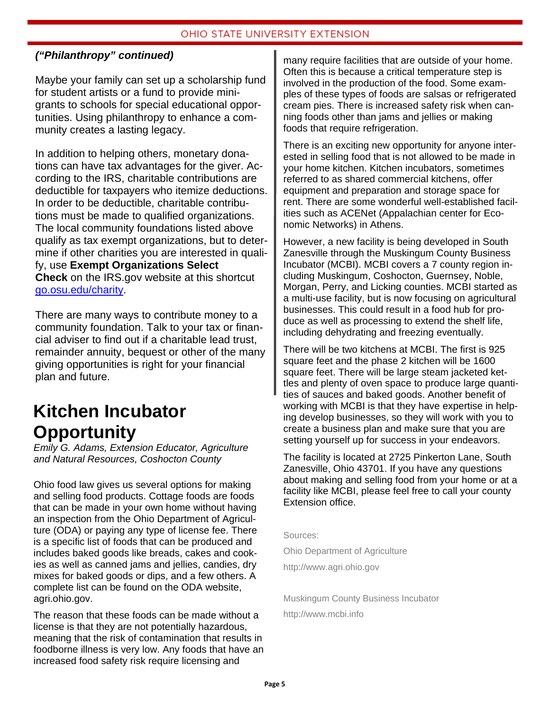#### OHIO STATE UNIVERSITY EXTENSION

#### *("Philanthropy" continued)*

Maybe your family can set up a scholarship fund for student artists or a fund to provide minigrants to schools for special educational opportunities. Using philanthropy to enhance a community creates a lasting legacy.

In addition to helping others, monetary donations can have tax advantages for the giver. According to the IRS, charitable contributions are deductible for taxpayers who itemize deductions. In order to be deductible, charitable contributions must be made to qualified organizations. The local community foundations listed above qualify as tax exempt organizations, but to determine if other charities you are interested in qualify, use **Exempt Organizations Select Check** on the IRS.gov website at this shortcut go.osu.edu/charity.

There are many ways to contribute money to a community foundation. Talk to your tax or financial adviser to find out if a charitable lead trust, remainder annuity, bequest or other of the many giving opportunities is right for your financial plan and future.

### **Kitchen Incubator Opportunity**

*Emily G. Adams, Extension Educator, Agriculture and Natural Resources, Coshocton County*

Ohio food law gives us several options for making and selling food products. Cottage foods are foods that can be made in your own home without having an inspection from the Ohio Department of Agriculture (ODA) or paying any type of license fee. There is a specific list of foods that can be produced and includes baked goods like breads, cakes and cookies as well as canned jams and jellies, candies, dry mixes for baked goods or dips, and a few others. A complete list can be found on the ODA website, agri.ohio.gov.

The reason that these foods can be made without a license is that they are not potentially hazardous, meaning that the risk of contamination that results in foodborne illness is very low. Any foods that have an increased food safety risk require licensing and

many require facilities that are outside of your home. Often this is because a critical temperature step is involved in the production of the food. Some examples of these types of foods are salsas or refrigerated cream pies. There is increased safety risk when canning foods other than jams and jellies or making foods that require refrigeration.

There is an exciting new opportunity for anyone interested in selling food that is not allowed to be made in your home kitchen. Kitchen incubators, sometimes referred to as shared commercial kitchens, offer equipment and preparation and storage space for rent. There are some wonderful well-established facilities such as ACENet (Appalachian center for Economic Networks) in Athens.

However, a new facility is being developed in South Zanesville through the Muskingum County Business Incubator (MCBI). MCBI covers a 7 county region including Muskingum, Coshocton, Guernsey, Noble, Morgan, Perry, and Licking counties. MCBI started as a multi-use facility, but is now focusing on agricultural businesses. This could result in a food hub for produce as well as processing to extend the shelf life, including dehydrating and freezing eventually.

There will be two kitchens at MCBI. The first is 925 square feet and the phase 2 kitchen will be 1600 square feet. There will be large steam jacketed kettles and plenty of oven space to produce large quantities of sauces and baked goods. Another benefit of working with MCBI is that they have expertise in helping develop businesses, so they will work with you to create a business plan and make sure that you are setting yourself up for success in your endeavors.

The facility is located at 2725 Pinkerton Lane, South Zanesville, Ohio 43701. If you have any questions about making and selling food from your home or at a facility like MCBI, please feel free to call your county Extension office.

Sources:

Ohio Department of Agriculture

http://www.agri.ohio.gov

Muskingum County Business Incubator http://www.mcbi.info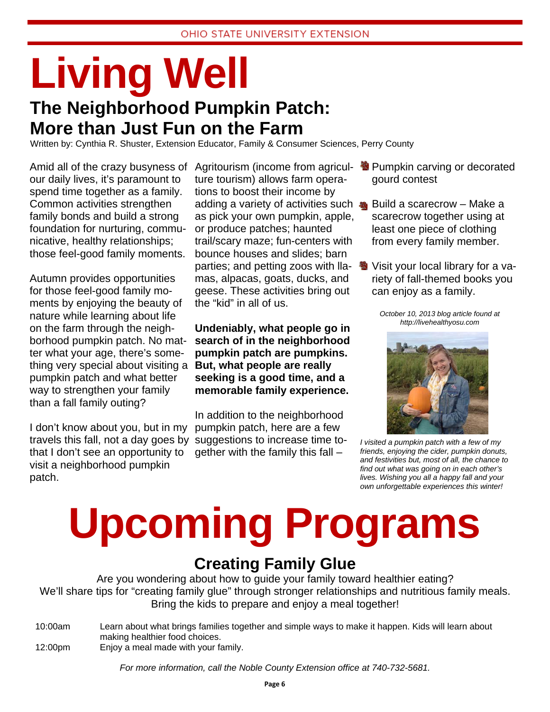### **Living Well The Neighborhood Pumpkin Patch:**

**More than Just Fun on the Farm** 

Written by: Cynthia R. Shuster, Extension Educator, Family & Consumer Sciences, Perry County

our daily lives, it's paramount to spend time together as a family. Common activities strengthen family bonds and build a strong foundation for nurturing, communicative, healthy relationships; those feel-good family moments.

Autumn provides opportunities for those feel-good family moments by enjoying the beauty of nature while learning about life on the farm through the neighborhood pumpkin patch. No matter what your age, there's something very special about visiting a pumpkin patch and what better way to strengthen your family than a fall family outing?

I don't know about you, but in my travels this fall, not a day goes by suggestions to increase time tothat I don't see an opportunity to visit a neighborhood pumpkin patch.

Amid all of the crazy busyness of Agritourism (income from agricul- <sup>3</sup> Pumpkin carving or decorated ture tourism) allows farm operations to boost their income by adding a variety of activities such as pick your own pumpkin, apple, or produce patches; haunted trail/scary maze; fun-centers with bounce houses and slides; barn parties; and petting zoos with lla- 9 mas, alpacas, goats, ducks, and geese. These activities bring out the "kid" in all of us.

> **Undeniably, what people go in search of in the neighborhood pumpkin patch are pumpkins. But, what people are really seeking is a good time, and a memorable family experience.**

In addition to the neighborhood pumpkin patch, here are a few gether with the family this fall –

- gourd contest
- Build a scarecrow Make a scarecrow together using at least one piece of clothing from every family member.
- Visit your local library for a variety of fall-themed books you can enjoy as a family.

*October 10, 2013 blog article found at http://livehealthyosu.com* 



*I visited a pumpkin patch with a few of my friends, enjoying the cider, pumpkin donuts, and festivities but, most of all, the chance to find out what was going on in each other's lives. Wishing you all a happy fall and your own unforgettable experiences this winter!* 

# **Upcoming Programs**

#### **Creating Family Glue**

Are you wondering about how to guide your family toward healthier eating? We'll share tips for "creating family glue" through stronger relationships and nutritious family meals. Bring the kids to prepare and enjoy a meal together!

10:00am Learn about what brings families together and simple ways to make it happen. Kids will learn about making healthier food choices. 12:00pm Enjoy a meal made with your family.

*For more information, call the Noble County Extension office at 740-732-5681.*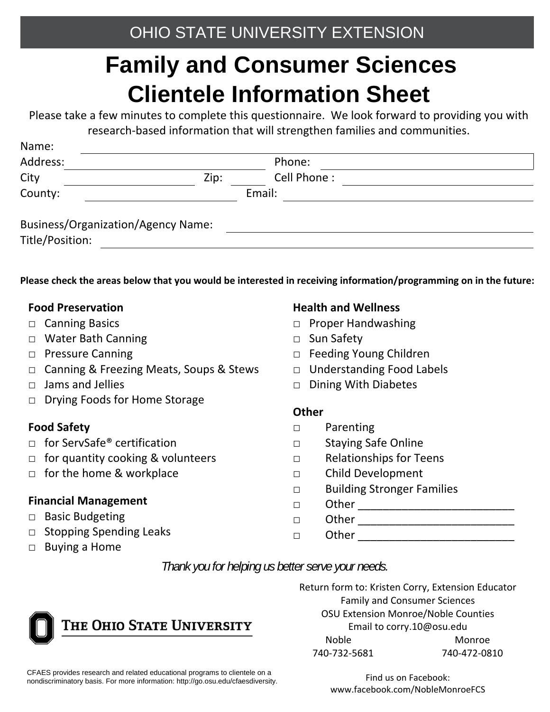### **Family and Consumer Sciences Clientele Information Sheet**

Please take a few minutes to complete this questionnaire. We look forward to providing you with research‐based information that will strengthen families and communities.

| <b>N</b> dille.<br>Address:               |      | Phone:      |  |
|-------------------------------------------|------|-------------|--|
| City                                      | Zip: | Cell Phone: |  |
| County:                                   |      | Email:      |  |
| <b>Business/Organization/Agency Name:</b> |      |             |  |
| Title/Position:                           |      |             |  |

Please check the areas below that you would be interested in receiving information/programming on in the future:

#### **Food Preservation**

Name:

- □ Canning Basics
- □ Water Bath Canning
- □ Pressure Canning
- □ Canning & Freezing Meats, Soups & Stews
- □ Jams and Jellies
- □ Drying Foods for Home Storage

#### **Food Safety**

- □ for ServSafe<sup>®</sup> certification
- $\Box$  for quantity cooking & volunteers
- □ for the home & workplace

#### **Financial Management**

- □ Basic Budgeting
- □ Stopping Spending Leaks
- □ Buying a Home

#### **Health and Wellness**

- □ Proper Handwashing
- □ Sun Safety
- □ Feeding Young Children
- □ Understanding Food Labels
- □ Dining With Diabetes

#### **Other**

- □ Parenting
- □ Staying Safe Online
- □ Relationships for Teens
- □ Child Development
- □ Building Stronger Families
- □ Other \_\_\_\_\_\_\_\_\_\_\_\_\_\_\_\_\_\_\_\_\_\_\_\_\_
- □ Other \_\_\_\_\_\_\_\_\_\_\_\_\_\_\_\_\_\_\_\_\_\_\_\_\_  $\Box$  Other  $\Box$

*Thank you for helping us better serve your needs.* 



Return form to: Kristen Corry, Extension Educator Family and Consumer Sciences OSU Extension Monroe/Noble Counties Email to corry.10@osu.edu Noble Monroe 740‐732‐5681 740‐472‐0810

CFAES provides research and related educational programs to clientele on a nondiscriminatory basis. For more information: http://go.osu.edu/cfaesdiversity.

Find us on Facebook: www.facebook.com/NobleMonroeFCS